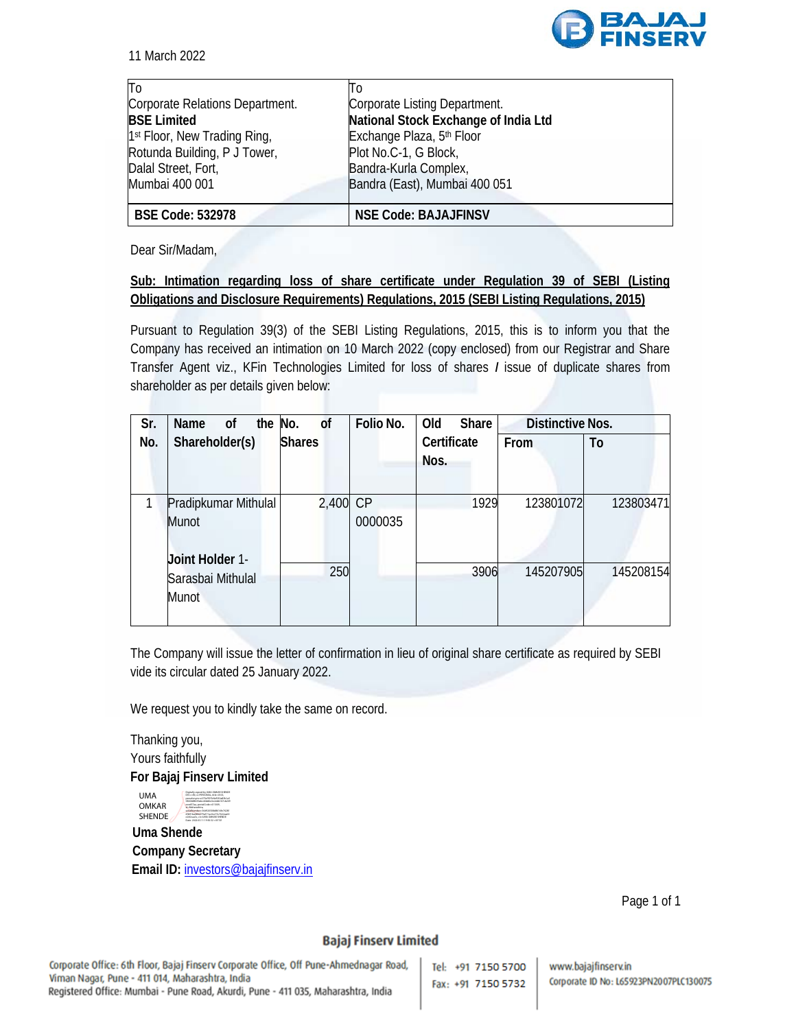

| ΙTο                                      | 10                                    |
|------------------------------------------|---------------------------------------|
| Corporate Relations Department.          | Corporate Listing Department.         |
| <b>BSE Limited</b>                       | National Stock Exchange of India Ltd  |
| 1 <sup>st</sup> Floor, New Trading Ring, | Exchange Plaza, 5 <sup>th</sup> Floor |
| Rotunda Building, P J Tower,             | Plot No.C-1, G Block,                 |
| Dalal Street, Fort,                      | Bandra-Kurla Complex,                 |
| Mumbai 400 001                           | Bandra (East), Mumbai 400 051         |
| <b>BSE Code: 532978</b>                  | <b>NSE Code: BAJAJFINSV</b>           |

Dear Sir/Madam,

## **Sub: Intimation regarding loss of share certificate under Regulation 39 of SEBI (Listing Obligations and Disclosure Requirements) Regulations, 2015 (SEBI Listing Regulations, 2015)**

Pursuant to Regulation 39(3) of the SEBI Listing Regulations, 2015, this is to inform you that the Company has received an intimation on 10 March 2022 (copy enclosed) from our Registrar and Share Transfer Agent viz., KFin Technologies Limited for loss of shares *I* issue of duplicate shares from shareholder as per details given below:

| Sr. | Name<br>0f           | the No. |               | <b>of</b> | Folio No. | Old         | Share | <b>Distinctive Nos.</b> |           |
|-----|----------------------|---------|---------------|-----------|-----------|-------------|-------|-------------------------|-----------|
| No. | Shareholder(s)       |         | <b>Shares</b> |           |           | Certificate |       | From                    | To        |
|     |                      |         |               |           |           | Nos.        |       |                         |           |
|     |                      |         |               |           |           |             |       |                         |           |
|     | Pradipkumar Mithulal |         |               | 2,400 CP  |           |             | 1929  | 123801072               | 123803471 |
|     | Munot                |         |               |           | 0000035   |             |       |                         |           |
|     |                      |         |               |           |           |             |       |                         |           |
|     | Joint Holder 1-      |         |               | 250       |           |             | 3906  | 145207905               | 145208154 |
|     | Sarasbai Mithulal    |         |               |           |           |             |       |                         |           |
|     | Munot                |         |               |           |           |             |       |                         |           |
|     |                      |         |               |           |           |             |       |                         |           |

The Company will issue the letter of confirmation in lieu of original share certificate as required by SEBI vide its circular dated 25 January 2022.

We request you to kindly take the same on record.

Thanking you, Yours faithfully **For Bajaj Finserv Limited** 



 **Uma Shende Company Secretary Email ID:** investors@bajajfinserv.in

Page 1 of 1

## **Bajaj Finserv Limited**

Tel: +91 7150 5700 Fax: +91 7150 5732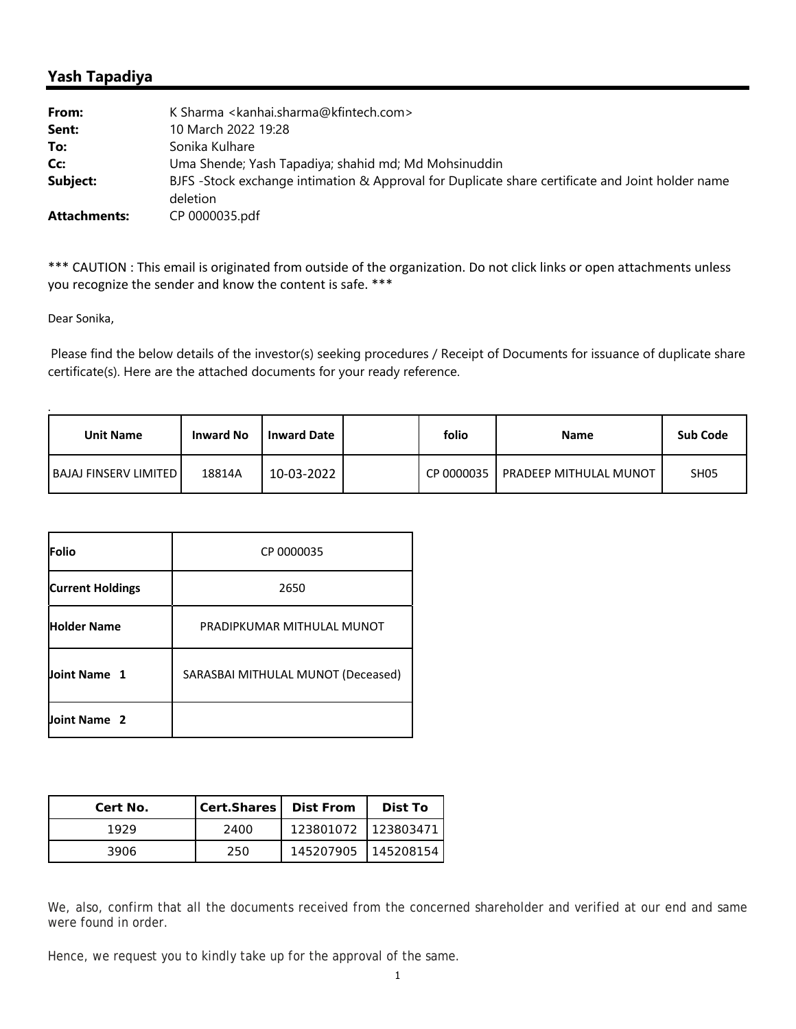## **Yash Tapadiya**

| From:               | K Sharma <kanhai.sharma@kfintech.com></kanhai.sharma@kfintech.com>                                           |
|---------------------|--------------------------------------------------------------------------------------------------------------|
| Sent:               | 10 March 2022 19:28                                                                                          |
| To:                 | Sonika Kulhare                                                                                               |
| Cc:                 | Uma Shende; Yash Tapadiya; shahid md; Md Mohsinuddin                                                         |
| Subject:            | BJFS -Stock exchange intimation & Approval for Duplicate share certificate and Joint holder name<br>deletion |
| <b>Attachments:</b> | CP 0000035.pdf                                                                                               |

\*\*\* CAUTION : This email is originated from outside of the organization. Do not click links or open attachments unless you recognize the sender and know the content is safe. \*\*\*

Dear Sonika,

.

Please find the below details of the investor(s) seeking procedures / Receipt of Documents for issuance of duplicate share certificate(s). Here are the attached documents for your ready reference.

| <b>Unit Name</b>        | <b>Inward No</b> | <b>Inward Date</b> | folio      | <b>Name</b>            | <b>Sub Code</b> |
|-------------------------|------------------|--------------------|------------|------------------------|-----------------|
| BAJAJ FINSERV LIMITED I | 18814A           | 10-03-2022         | CP 0000035 | PRADEEP MITHULAL MUNOT | <b>SH05</b>     |

| Folio                   | CP 0000035                         |
|-------------------------|------------------------------------|
| <b>Current Holdings</b> | 2650                               |
| <b>Holder Name</b>      | PRADIPKUMAR MITHULAL MUNOT         |
| Joint Name 1            | SARASBAI MITHULAL MUNOT (Deceased) |
| Joint Name 2            |                                    |

| Cert No. | Cert.Shares | <b>Dist From</b>    | Dist To |
|----------|-------------|---------------------|---------|
| 1929     | 2400        | 123801072 123803471 |         |
| 3906     | 250         | 145207905 145208154 |         |

We, also, confirm that all the documents received from the concerned shareholder and verified at our end and same were found in order.

Hence, we request you to kindly take up for the approval of the same.